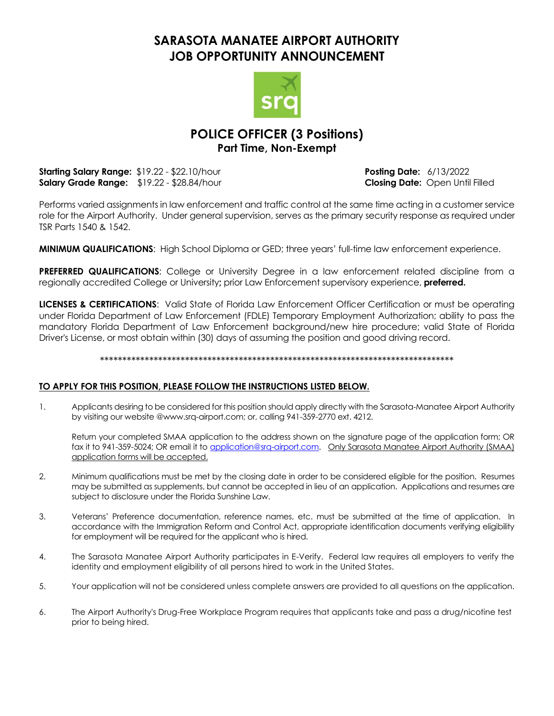# **SARASOTA MANATEE AIRPORT AUTHORITY JOB OPPORTUNITY ANNOUNCEMENT**



## **POLICE OFFICER (3 Positions) Part Time, Non-Exempt**

**Starting Salary Range:**  $$19.22 - $22.10/h$ our **Posting Date:** 6/13/2022 **Salary Grade Range:** \$19.22 - \$28.84/hour **Closing Date:** Open Until Filled

Performs varied assignments in law enforcement and traffic control at the same time acting in a customer service role for the Airport Authority. Under general supervision, serves as the primary security response as required under TSR Parts 1540 & 1542.

**MINIMUM QUALIFICATIONS**: High School Diploma or GED; three years' full-time law enforcement experience.

**PREFERRED QUALIFICATIONS:** College or University Degree in a law enforcement related discipline from a regionally accredited College or University**;** prior Law Enforcement supervisory experience, **preferred.**

**LICENSES & CERTIFICATIONS**: Valid State of Florida Law Enforcement Officer Certification or must be operating under Florida Department of Law Enforcement (FDLE) Temporary Employment Authorization; ability to pass the mandatory Florida Department of Law Enforcement background/new hire procedure; valid State of Florida Driver's License, or most obtain within (30) days of assuming the position and good driving record.

#### \*\*\*\*\*\*\*\*\*\*\*\*\*\*\*\*\*\*\*\*\*\*\*\*\*\*\*\*\*\*\*\*\*\*\*\*\*\*\*\*\*\*\*\*\*\*\*\*\*\*\*\*\*\*\*\*\*\*\*\*\*\*\*\*\*\*\*\*\*\*\*\*\*\*\*\*\*\*\*

#### **TO APPLY FOR THIS POSITION, PLEASE FOLLOW THE INSTRUCTIONS LISTED BELOW.**

1. Applicants desiring to be considered for this position should apply directly with the Sarasota-Manatee Airport Authority by visiting our website @www.srq-airport.com; or, calling 941-359-2770 ext. 4212.

Return your completed SMAA application to the address shown on the signature page of the application form; OR fax it to 941-359-5024; OR email it to [application@srq-airport.com.](mailto:application@srq-airport.com) Only Sarasota Manatee Airport Authority (SMAA) application forms will be accepted.

- 2. Minimum qualifications must be met by the closing date in order to be considered eligible for the position. Resumes may be submitted as supplements, but cannot be accepted in lieu of an application. Applications and resumes are subject to disclosure under the Florida Sunshine Law.
- 3. Veterans' Preference documentation, reference names, etc. must be submitted at the time of application. In accordance with the Immigration Reform and Control Act, appropriate identification documents verifying eligibility for employment will be required for the applicant who is hired.
- 4. The Sarasota Manatee Airport Authority participates in E-Verify. Federal law requires all employers to verify the identity and employment eligibility of all persons hired to work in the United States.
- 5. Your application will not be considered unless complete answers are provided to all questions on the application.
- 6. The Airport Authority's Drug-Free Workplace Program requires that applicants take and pass a drug/nicotine test prior to being hired.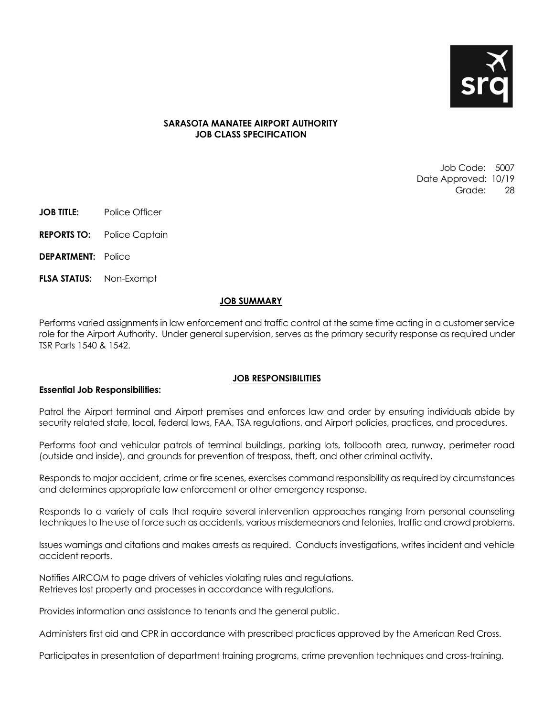

#### **SARASOTA MANATEE AIRPORT AUTHORITY JOB CLASS SPECIFICATION**

Job Code: 5007 Date Approved: 10/19 Grade: 28

- **JOB TITLE:** Police Officer
- **REPORTS TO:** Police Captain
- **DEPARTMENT:** Police
- **FLSA STATUS:** Non-Exempt

#### **JOB SUMMARY**

Performs varied assignments in law enforcement and traffic control at the same time acting in a customer service role for the Airport Authority. Under general supervision, serves as the primary security response as required under TSR Parts 1540 & 1542.

#### **JOB RESPONSIBILITIES**

#### **Essential Job Responsibilities:**

Patrol the Airport terminal and Airport premises and enforces law and order by ensuring individuals abide by security related state, local, federal laws, FAA, TSA regulations, and Airport policies, practices, and procedures.

Performs foot and vehicular patrols of terminal buildings, parking lots, tollbooth area, runway, perimeter road (outside and inside), and grounds for prevention of trespass, theft, and other criminal activity.

Responds to major accident, crime or fire scenes, exercises command responsibility as required by circumstances and determines appropriate law enforcement or other emergency response.

Responds to a variety of calls that require several intervention approaches ranging from personal counseling techniques to the use of force such as accidents, various misdemeanors and felonies, traffic and crowd problems.

Issues warnings and citations and makes arrests as required. Conducts investigations, writes incident and vehicle accident reports.

Notifies AIRCOM to page drivers of vehicles violating rules and regulations. Retrieves lost property and processes in accordance with regulations.

Provides information and assistance to tenants and the general public.

Administers first aid and CPR in accordance with prescribed practices approved by the American Red Cross.

Participates in presentation of department training programs, crime prevention techniques and cross-training.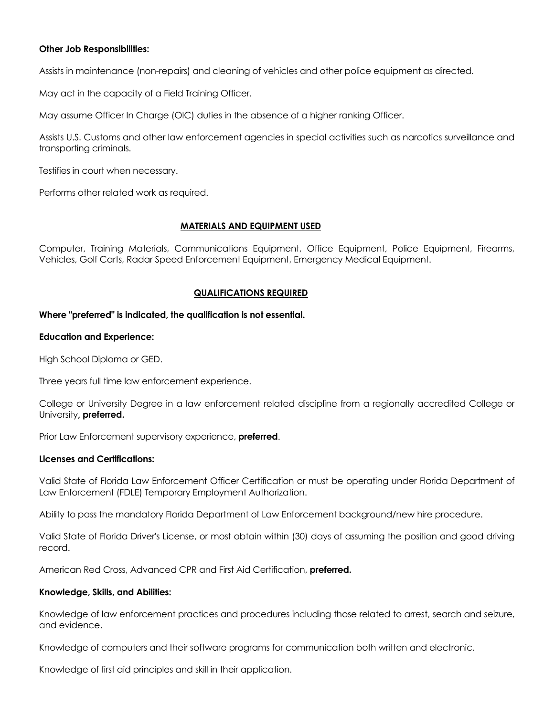#### **Other Job Responsibilities:**

Assists in maintenance (non-repairs) and cleaning of vehicles and other police equipment as directed.

May act in the capacity of a Field Training Officer.

May assume Officer In Charge (OIC) duties in the absence of a higher ranking Officer.

Assists U.S. Customs and other law enforcement agencies in special activities such as narcotics surveillance and transporting criminals.

Testifies in court when necessary.

Performs other related work as required.

#### **MATERIALS AND EQUIPMENT USED**

Computer, Training Materials, Communications Equipment, Office Equipment, Police Equipment, Firearms, Vehicles, Golf Carts, Radar Speed Enforcement Equipment, Emergency Medical Equipment.

#### **QUALIFICATIONS REQUIRED**

#### **Where "preferred" is indicated, the qualification is not essential.**

#### **Education and Experience:**

High School Diploma or GED.

Three years full time law enforcement experience.

College or University Degree in a law enforcement related discipline from a regionally accredited College or University**, preferred.**

Prior Law Enforcement supervisory experience, **preferred**.

#### **Licenses and Certifications:**

Valid State of Florida Law Enforcement Officer Certification or must be operating under Florida Department of Law Enforcement (FDLE) Temporary Employment Authorization.

Ability to pass the mandatory Florida Department of Law Enforcement background/new hire procedure.

Valid State of Florida Driver's License, or most obtain within (30) days of assuming the position and good driving record.

American Red Cross, Advanced CPR and First Aid Certification, **preferred.**

#### **Knowledge, Skills, and Abilities:**

Knowledge of law enforcement practices and procedures including those related to arrest, search and seizure, and evidence.

Knowledge of computers and their software programs for communication both written and electronic.

Knowledge of first aid principles and skill in their application.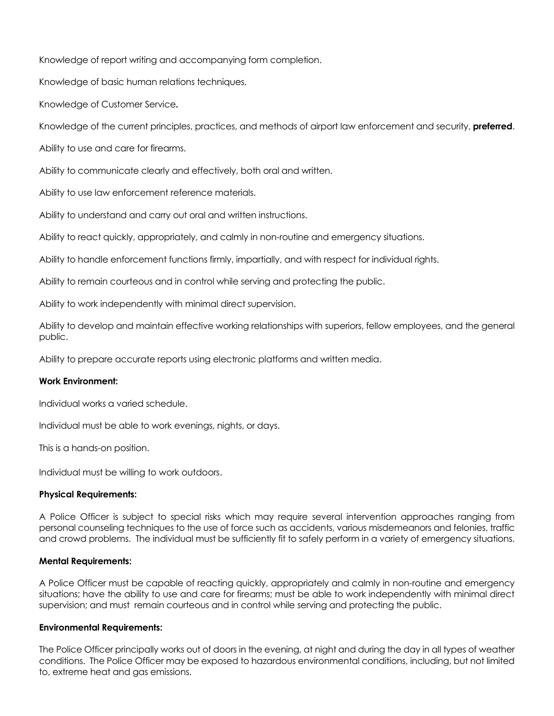Knowledge of report writing and accompanying form completion.

Knowledge of basic human relations techniques.

Knowledge of Customer Service**.**

Knowledge of the current principles, practices, and methods of airport law enforcement and security, **preferred**.

Ability to use and care for firearms.

Ability to communicate clearly and effectively, both oral and written.

Ability to use law enforcement reference materials.

Ability to understand and carry out oral and written instructions.

Ability to react quickly, appropriately, and calmly in non-routine and emergency situations.

Ability to handle enforcement functions firmly, impartially, and with respect for individual rights.

Ability to remain courteous and in control while serving and protecting the public.

Ability to work independently with minimal direct supervision.

Ability to develop and maintain effective working relationships with superiors, fellow employees, and the general public.

Ability to prepare accurate reports using electronic platforms and written media.

### **Work Environment:**

Individual works a varied schedule.

Individual must be able to work evenings, nights, or days.

This is a hands-on position.

Individual must be willing to work outdoors.

### **Physical Requirements:**

A Police Officer is subject to special risks which may require several intervention approaches ranging from personal counseling techniques to the use of force such as accidents, various misdemeanors and felonies, traffic and crowd problems. The individual must be sufficiently fit to safely perform in a variety of emergency situations.

### **Mental Requirements:**

A Police Officer must be capable of reacting quickly, appropriately and calmly in non-routine and emergency situations; have the ability to use and care for firearms; must be able to work independently with minimal direct supervision; and must remain courteous and in control while serving and protecting the public.

### **Environmental Requirements:**

The Police Officer principally works out of doors in the evening, at night and during the day in all types of weather conditions. The Police Officer may be exposed to hazardous environmental conditions, including, but not limited to, extreme heat and gas emissions.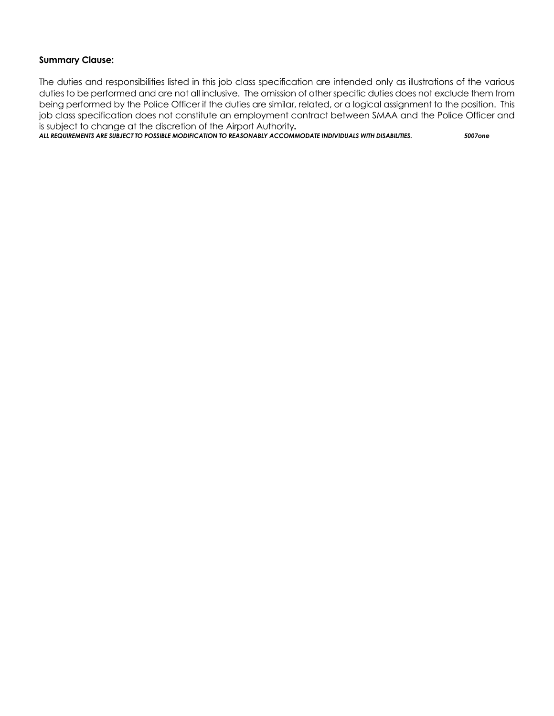### **Summary Clause:**

The duties and responsibilities listed in this job class specification are intended only as illustrations of the various duties to be performed and are not all inclusive. The omission of other specific duties does not exclude them from being performed by the Police Officer if the duties are similar, related, or a logical assignment to the position. This job class specification does not constitute an employment contract between SMAA and the Police Officer and is subject to change at the discretion of the Airport Authority*.*

*ALL REQUIREMENTS ARE SUBJECT TO POSSIBLE MODIFICATION TO REASONABLY ACCOMMODATE INDIVIDUALS WITH DISABILITIES. 5007one*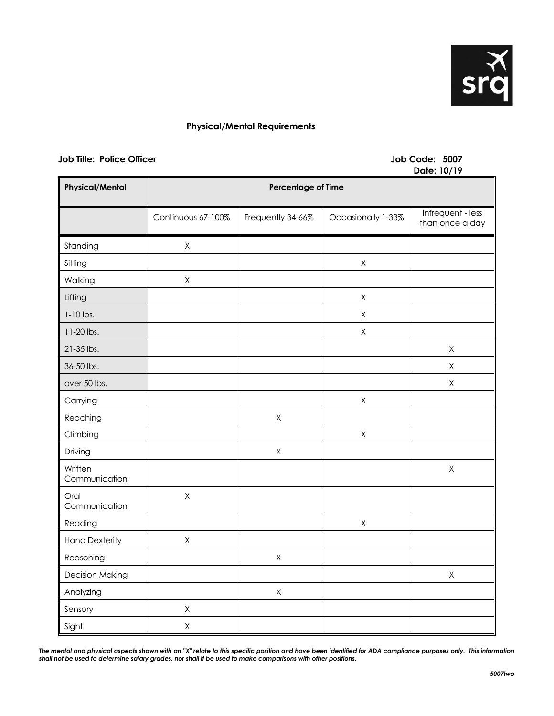

### **Physical/Mental Requirements**

#### **Job Title: Police Officer Access 2007**

# **Date: 10/19**

| <b>Physical/Mental</b>   | <u>Pais. 19717</u><br><b>Percentage of Time</b> |                   |                    |                                      |
|--------------------------|-------------------------------------------------|-------------------|--------------------|--------------------------------------|
|                          | Continuous 67-100%                              | Frequently 34-66% | Occasionally 1-33% | Infrequent - less<br>than once a day |
| Standing                 | $\mathsf X$                                     |                   |                    |                                      |
| Sitting                  |                                                 |                   | $\mathsf X$        |                                      |
| Walking                  | $\mathsf X$                                     |                   |                    |                                      |
| Lifting                  |                                                 |                   | $\mathsf X$        |                                      |
| $1-10$ lbs.              |                                                 |                   | Χ                  |                                      |
| 11-20 lbs.               |                                                 |                   | Χ                  |                                      |
| 21-35 lbs.               |                                                 |                   |                    | $\mathsf X$                          |
| 36-50 lbs.               |                                                 |                   |                    | $\mathsf X$                          |
| over 50 lbs.             |                                                 |                   |                    | $\mathsf X$                          |
| Carrying                 |                                                 |                   | $\mathsf X$        |                                      |
| Reaching                 |                                                 | $\mathsf X$       |                    |                                      |
| Climbing                 |                                                 |                   | $\mathsf X$        |                                      |
| Driving                  |                                                 | $\mathsf X$       |                    |                                      |
| Written<br>Communication |                                                 |                   |                    | $\mathsf X$                          |
| Oral<br>Communication    | $\mathsf X$                                     |                   |                    |                                      |
| Reading                  |                                                 |                   | $\mathsf X$        |                                      |
| <b>Hand Dexterity</b>    | $\mathsf X$                                     |                   |                    |                                      |
| Reasoning                |                                                 | $\mathsf X$       |                    |                                      |
| <b>Decision Making</b>   |                                                 |                   |                    | $\mathsf X$                          |
| Analyzing                |                                                 | $\mathsf X$       |                    |                                      |
| Sensory                  | $\sf X$                                         |                   |                    |                                      |
| Sight                    | $\mathsf X$                                     |                   |                    |                                      |

*The mental and physical aspects shown with an "X" relate to this specific position and have been identified for ADA compliance purposes only. This information shall not be used to determine salary grades, nor shall it be used to make comparisons with other positions.*